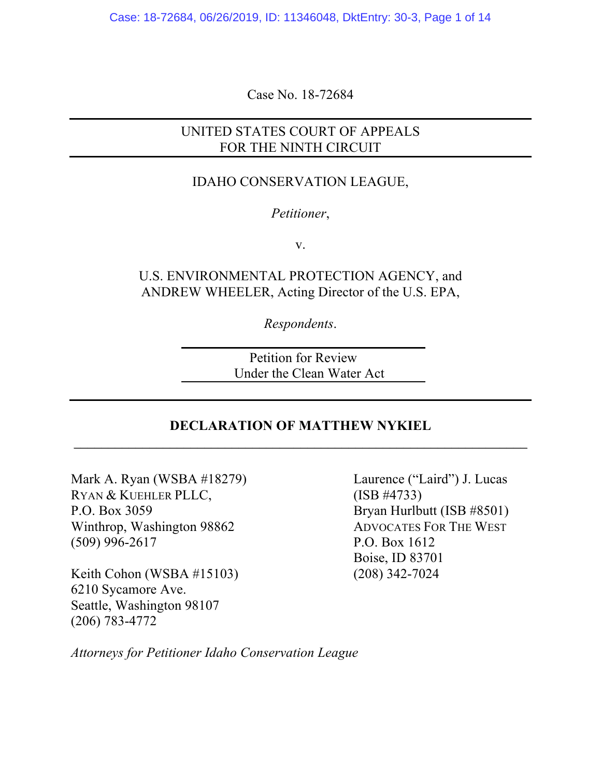Case: 18-72684, 06/26/2019, ID: 11346048, DktEntry: 30-3, Page 1 of 14

Case No. 18-72684

# UNITED STATES COURT OF APPEALS FOR THE NINTH CIRCUIT

## IDAHO CONSERVATION LEAGUE,

### *Petitioner*,

v.

U.S. ENVIRONMENTAL PROTECTION AGENCY, and ANDREW WHEELER, Acting Director of the U.S. EPA,

*Respondents*.

Petition for Review Under the Clean Water Act

## **DECLARATION OF MATTHEW NYKIEL** \_\_\_\_\_\_\_\_\_\_\_\_\_\_\_\_\_\_\_\_\_\_\_\_\_\_\_\_\_\_\_\_\_\_\_\_\_\_\_\_\_\_\_\_\_\_\_\_\_\_\_\_\_\_\_\_\_\_\_\_\_\_\_\_\_\_

Mark A. Ryan (WSBA #18279) Laurence ("Laird") J. Lucas RYAN & KUEHLER PLLC, (ISB #4733) P.O. Box 3059 Bryan Hurlbutt (ISB #8501) Winthrop, Washington 98862 ADVOCATES FOR THE WEST (509) 996-2617 P.O. Box 1612

Keith Cohon (WSBA #15103) (208) 342-7024 6210 Sycamore Ave. Seattle, Washington 98107 (206) 783-4772

Boise, ID 83701

*Attorneys for Petitioner Idaho Conservation League*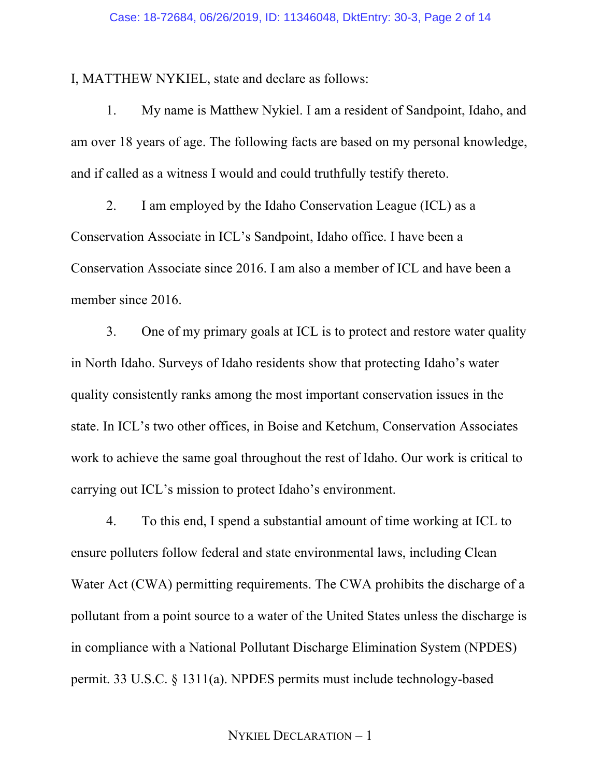I, MATTHEW NYKIEL, state and declare as follows:

1. My name is Matthew Nykiel. I am a resident of Sandpoint, Idaho, and am over 18 years of age. The following facts are based on my personal knowledge, and if called as a witness I would and could truthfully testify thereto.

2. I am employed by the Idaho Conservation League (ICL) as a Conservation Associate in ICL's Sandpoint, Idaho office. I have been a Conservation Associate since 2016. I am also a member of ICL and have been a member since 2016.

3. One of my primary goals at ICL is to protect and restore water quality in North Idaho. Surveys of Idaho residents show that protecting Idaho's water quality consistently ranks among the most important conservation issues in the state. In ICL's two other offices, in Boise and Ketchum, Conservation Associates work to achieve the same goal throughout the rest of Idaho. Our work is critical to carrying out ICL's mission to protect Idaho's environment.

4. To this end, I spend a substantial amount of time working at ICL to ensure polluters follow federal and state environmental laws, including Clean Water Act (CWA) permitting requirements. The CWA prohibits the discharge of a pollutant from a point source to a water of the United States unless the discharge is in compliance with a National Pollutant Discharge Elimination System (NPDES) permit. 33 U.S.C. § 1311(a). NPDES permits must include technology-based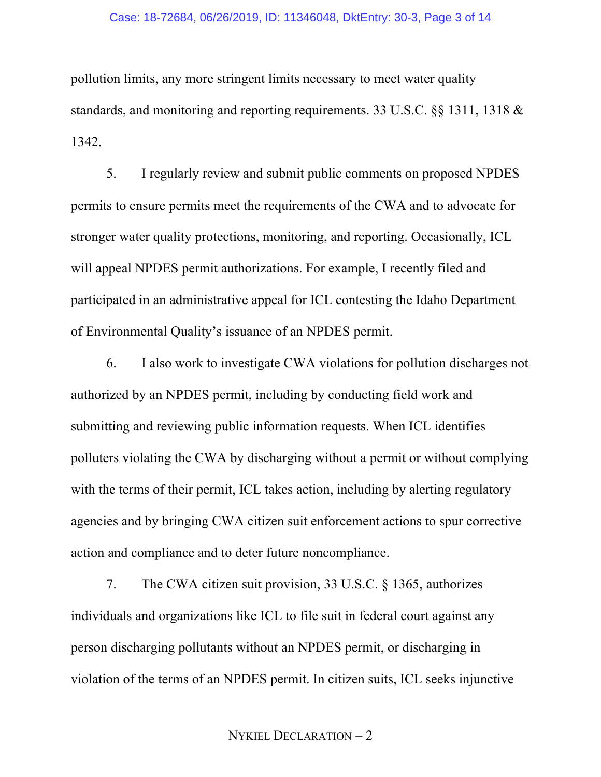### Case: 18-72684, 06/26/2019, ID: 11346048, DktEntry: 30-3, Page 3 of 14

pollution limits, any more stringent limits necessary to meet water quality standards, and monitoring and reporting requirements. 33 U.S.C. §§ 1311, 1318 & 1342.

5. I regularly review and submit public comments on proposed NPDES permits to ensure permits meet the requirements of the CWA and to advocate for stronger water quality protections, monitoring, and reporting. Occasionally, ICL will appeal NPDES permit authorizations. For example, I recently filed and participated in an administrative appeal for ICL contesting the Idaho Department of Environmental Quality's issuance of an NPDES permit.

6. I also work to investigate CWA violations for pollution discharges not authorized by an NPDES permit, including by conducting field work and submitting and reviewing public information requests. When ICL identifies polluters violating the CWA by discharging without a permit or without complying with the terms of their permit, ICL takes action, including by alerting regulatory agencies and by bringing CWA citizen suit enforcement actions to spur corrective action and compliance and to deter future noncompliance.

7. The CWA citizen suit provision, 33 U.S.C. § 1365, authorizes individuals and organizations like ICL to file suit in federal court against any person discharging pollutants without an NPDES permit, or discharging in violation of the terms of an NPDES permit. In citizen suits, ICL seeks injunctive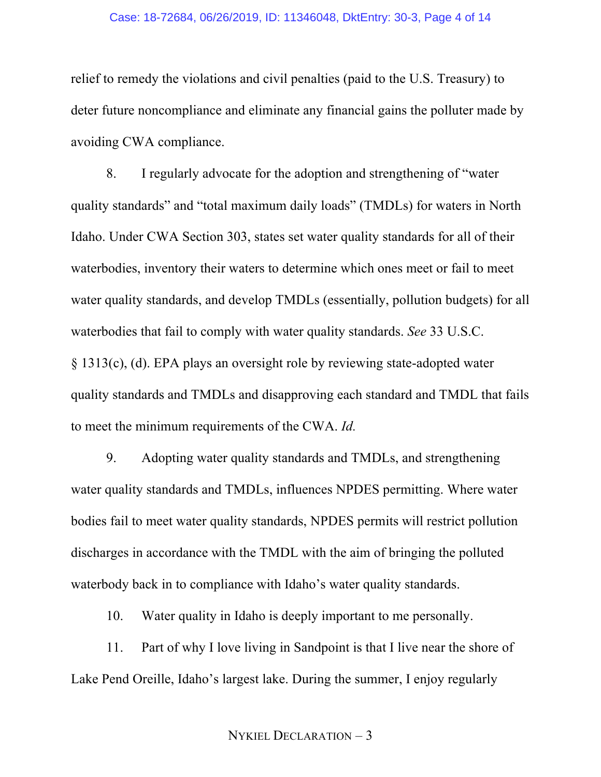### Case: 18-72684, 06/26/2019, ID: 11346048, DktEntry: 30-3, Page 4 of 14

relief to remedy the violations and civil penalties (paid to the U.S. Treasury) to deter future noncompliance and eliminate any financial gains the polluter made by avoiding CWA compliance.

8. I regularly advocate for the adoption and strengthening of "water quality standards" and "total maximum daily loads" (TMDLs) for waters in North Idaho. Under CWA Section 303, states set water quality standards for all of their waterbodies, inventory their waters to determine which ones meet or fail to meet water quality standards, and develop TMDLs (essentially, pollution budgets) for all waterbodies that fail to comply with water quality standards. *See* 33 U.S.C. § 1313(c), (d). EPA plays an oversight role by reviewing state-adopted water quality standards and TMDLs and disapproving each standard and TMDL that fails to meet the minimum requirements of the CWA. *Id.*

9. Adopting water quality standards and TMDLs, and strengthening water quality standards and TMDLs, influences NPDES permitting. Where water bodies fail to meet water quality standards, NPDES permits will restrict pollution discharges in accordance with the TMDL with the aim of bringing the polluted waterbody back in to compliance with Idaho's water quality standards.

10. Water quality in Idaho is deeply important to me personally.

11. Part of why I love living in Sandpoint is that I live near the shore of Lake Pend Oreille, Idaho's largest lake. During the summer, I enjoy regularly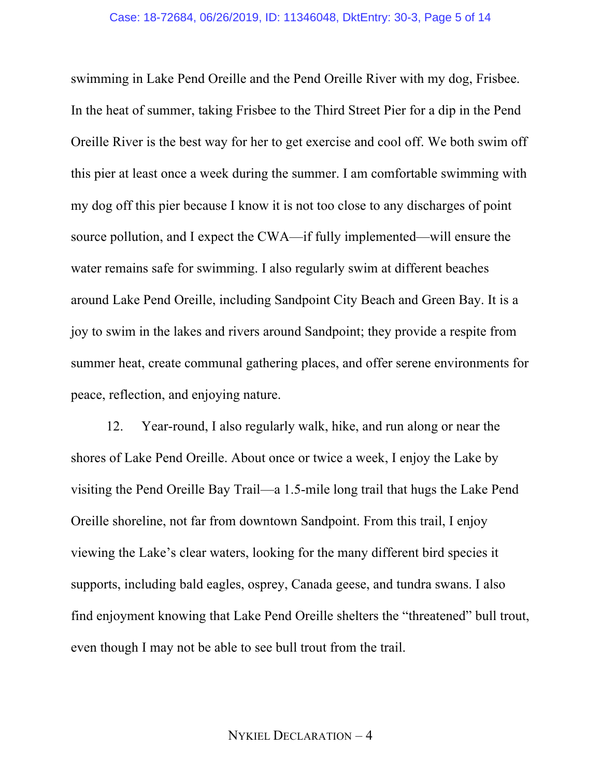swimming in Lake Pend Oreille and the Pend Oreille River with my dog, Frisbee. In the heat of summer, taking Frisbee to the Third Street Pier for a dip in the Pend Oreille River is the best way for her to get exercise and cool off. We both swim off this pier at least once a week during the summer. I am comfortable swimming with my dog off this pier because I know it is not too close to any discharges of point source pollution, and I expect the CWA—if fully implemented—will ensure the water remains safe for swimming. I also regularly swim at different beaches around Lake Pend Oreille, including Sandpoint City Beach and Green Bay. It is a joy to swim in the lakes and rivers around Sandpoint; they provide a respite from summer heat, create communal gathering places, and offer serene environments for peace, reflection, and enjoying nature.

12. Year-round, I also regularly walk, hike, and run along or near the shores of Lake Pend Oreille. About once or twice a week, I enjoy the Lake by visiting the Pend Oreille Bay Trail—a 1.5-mile long trail that hugs the Lake Pend Oreille shoreline, not far from downtown Sandpoint. From this trail, I enjoy viewing the Lake's clear waters, looking for the many different bird species it supports, including bald eagles, osprey, Canada geese, and tundra swans. I also find enjoyment knowing that Lake Pend Oreille shelters the "threatened" bull trout, even though I may not be able to see bull trout from the trail.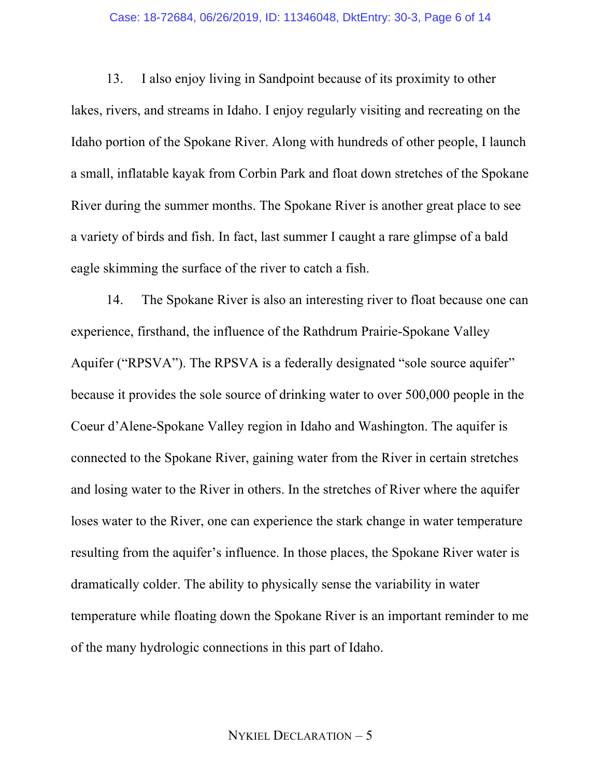#### Case: 18-72684, 06/26/2019, ID: 11346048, DktEntry: 30-3, Page 6 of 14

13. I also enjoy living in Sandpoint because of its proximity to other lakes, rivers, and streams in Idaho. I enjoy regularly visiting and recreating on the Idaho portion of the Spokane River. Along with hundreds of other people, I launch a small, inflatable kayak from Corbin Park and float down stretches of the Spokane River during the summer months. The Spokane River is another great place to see a variety of birds and fish. In fact, last summer I caught a rare glimpse of a bald eagle skimming the surface of the river to catch a fish.

14. The Spokane River is also an interesting river to float because one can experience, firsthand, the influence of the Rathdrum Prairie-Spokane Valley Aquifer ("RPSVA"). The RPSVA is a federally designated "sole source aquifer" because it provides the sole source of drinking water to over 500,000 people in the Coeur d'Alene-Spokane Valley region in Idaho and Washington. The aquifer is connected to the Spokane River, gaining water from the River in certain stretches and losing water to the River in others. In the stretches of River where the aquifer loses water to the River, one can experience the stark change in water temperature resulting from the aquifer's influence. In those places, the Spokane River water is dramatically colder. The ability to physically sense the variability in water temperature while floating down the Spokane River is an important reminder to me of the many hydrologic connections in this part of Idaho.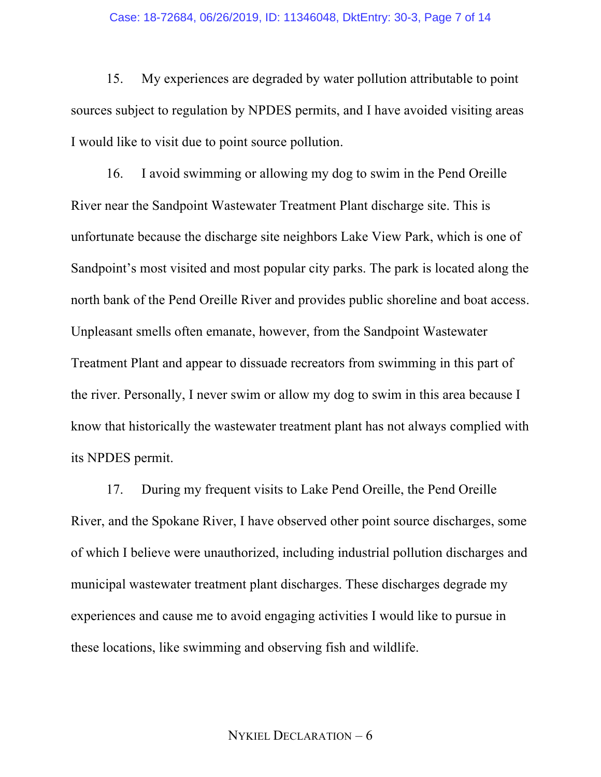#### Case: 18-72684, 06/26/2019, ID: 11346048, DktEntry: 30-3, Page 7 of 14

15. My experiences are degraded by water pollution attributable to point sources subject to regulation by NPDES permits, and I have avoided visiting areas I would like to visit due to point source pollution.

16. I avoid swimming or allowing my dog to swim in the Pend Oreille River near the Sandpoint Wastewater Treatment Plant discharge site. This is unfortunate because the discharge site neighbors Lake View Park, which is one of Sandpoint's most visited and most popular city parks. The park is located along the north bank of the Pend Oreille River and provides public shoreline and boat access. Unpleasant smells often emanate, however, from the Sandpoint Wastewater Treatment Plant and appear to dissuade recreators from swimming in this part of the river. Personally, I never swim or allow my dog to swim in this area because I know that historically the wastewater treatment plant has not always complied with its NPDES permit.

17. During my frequent visits to Lake Pend Oreille, the Pend Oreille River, and the Spokane River, I have observed other point source discharges, some of which I believe were unauthorized, including industrial pollution discharges and municipal wastewater treatment plant discharges. These discharges degrade my experiences and cause me to avoid engaging activities I would like to pursue in these locations, like swimming and observing fish and wildlife.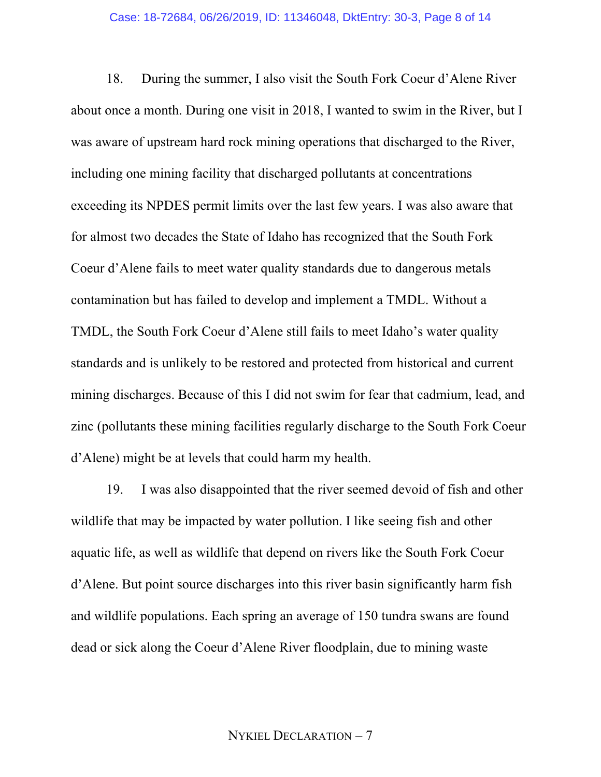18. During the summer, I also visit the South Fork Coeur d'Alene River about once a month. During one visit in 2018, I wanted to swim in the River, but I was aware of upstream hard rock mining operations that discharged to the River, including one mining facility that discharged pollutants at concentrations exceeding its NPDES permit limits over the last few years. I was also aware that for almost two decades the State of Idaho has recognized that the South Fork Coeur d'Alene fails to meet water quality standards due to dangerous metals contamination but has failed to develop and implement a TMDL. Without a TMDL, the South Fork Coeur d'Alene still fails to meet Idaho's water quality standards and is unlikely to be restored and protected from historical and current mining discharges. Because of this I did not swim for fear that cadmium, lead, and zinc (pollutants these mining facilities regularly discharge to the South Fork Coeur d'Alene) might be at levels that could harm my health.

19. I was also disappointed that the river seemed devoid of fish and other wildlife that may be impacted by water pollution. I like seeing fish and other aquatic life, as well as wildlife that depend on rivers like the South Fork Coeur d'Alene. But point source discharges into this river basin significantly harm fish and wildlife populations. Each spring an average of 150 tundra swans are found dead or sick along the Coeur d'Alene River floodplain, due to mining waste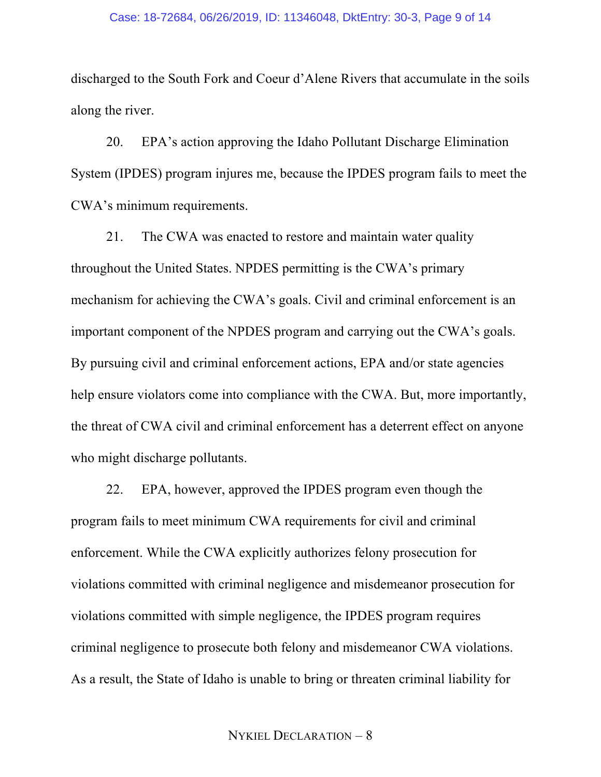#### Case: 18-72684, 06/26/2019, ID: 11346048, DktEntry: 30-3, Page 9 of 14

discharged to the South Fork and Coeur d'Alene Rivers that accumulate in the soils along the river.

20. EPA's action approving the Idaho Pollutant Discharge Elimination System (IPDES) program injures me, because the IPDES program fails to meet the CWA's minimum requirements.

21. The CWA was enacted to restore and maintain water quality throughout the United States. NPDES permitting is the CWA's primary mechanism for achieving the CWA's goals. Civil and criminal enforcement is an important component of the NPDES program and carrying out the CWA's goals. By pursuing civil and criminal enforcement actions, EPA and/or state agencies help ensure violators come into compliance with the CWA. But, more importantly, the threat of CWA civil and criminal enforcement has a deterrent effect on anyone who might discharge pollutants.

22. EPA, however, approved the IPDES program even though the program fails to meet minimum CWA requirements for civil and criminal enforcement. While the CWA explicitly authorizes felony prosecution for violations committed with criminal negligence and misdemeanor prosecution for violations committed with simple negligence, the IPDES program requires criminal negligence to prosecute both felony and misdemeanor CWA violations. As a result, the State of Idaho is unable to bring or threaten criminal liability for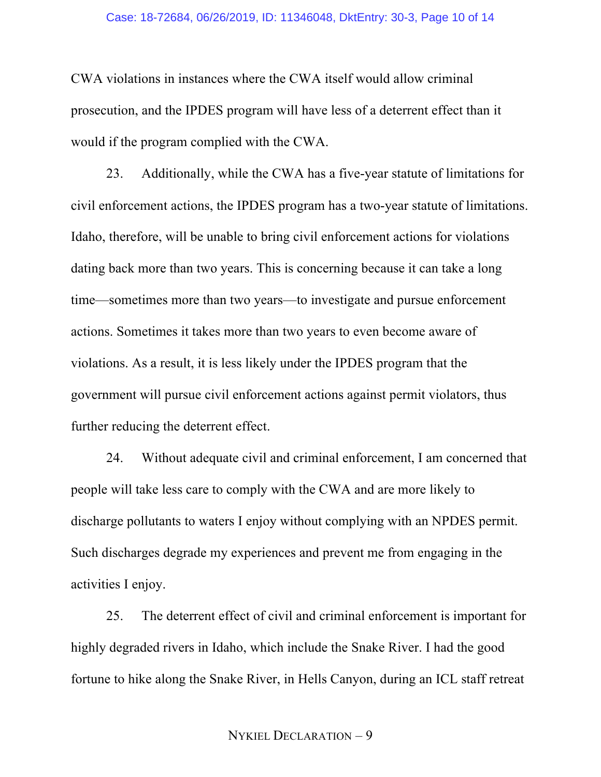### Case: 18-72684, 06/26/2019, ID: 11346048, DktEntry: 30-3, Page 10 of 14

CWA violations in instances where the CWA itself would allow criminal prosecution, and the IPDES program will have less of a deterrent effect than it would if the program complied with the CWA.

23. Additionally, while the CWA has a five-year statute of limitations for civil enforcement actions, the IPDES program has a two-year statute of limitations. Idaho, therefore, will be unable to bring civil enforcement actions for violations dating back more than two years. This is concerning because it can take a long time—sometimes more than two years—to investigate and pursue enforcement actions. Sometimes it takes more than two years to even become aware of violations. As a result, it is less likely under the IPDES program that the government will pursue civil enforcement actions against permit violators, thus further reducing the deterrent effect.

24. Without adequate civil and criminal enforcement, I am concerned that people will take less care to comply with the CWA and are more likely to discharge pollutants to waters I enjoy without complying with an NPDES permit. Such discharges degrade my experiences and prevent me from engaging in the activities I enjoy.

25. The deterrent effect of civil and criminal enforcement is important for highly degraded rivers in Idaho, which include the Snake River. I had the good fortune to hike along the Snake River, in Hells Canyon, during an ICL staff retreat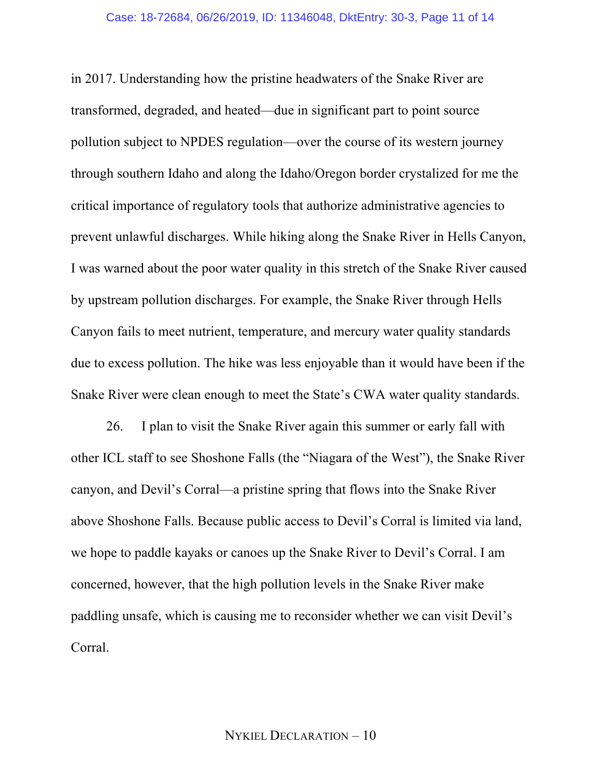in 2017. Understanding how the pristine headwaters of the Snake River are transformed, degraded, and heated—due in significant part to point source pollution subject to NPDES regulation—over the course of its western journey through southern Idaho and along the Idaho/Oregon border crystalized for me the critical importance of regulatory tools that authorize administrative agencies to prevent unlawful discharges. While hiking along the Snake River in Hells Canyon, I was warned about the poor water quality in this stretch of the Snake River caused by upstream pollution discharges. For example, the Snake River through Hells Canyon fails to meet nutrient, temperature, and mercury water quality standards due to excess pollution. The hike was less enjoyable than it would have been if the Snake River were clean enough to meet the State's CWA water quality standards.

26. I plan to visit the Snake River again this summer or early fall with other ICL staff to see Shoshone Falls (the "Niagara of the West"), the Snake River canyon, and Devil's Corral—a pristine spring that flows into the Snake River above Shoshone Falls. Because public access to Devil's Corral is limited via land, we hope to paddle kayaks or canoes up the Snake River to Devil's Corral. I am concerned, however, that the high pollution levels in the Snake River make paddling unsafe, which is causing me to reconsider whether we can visit Devil's Corral.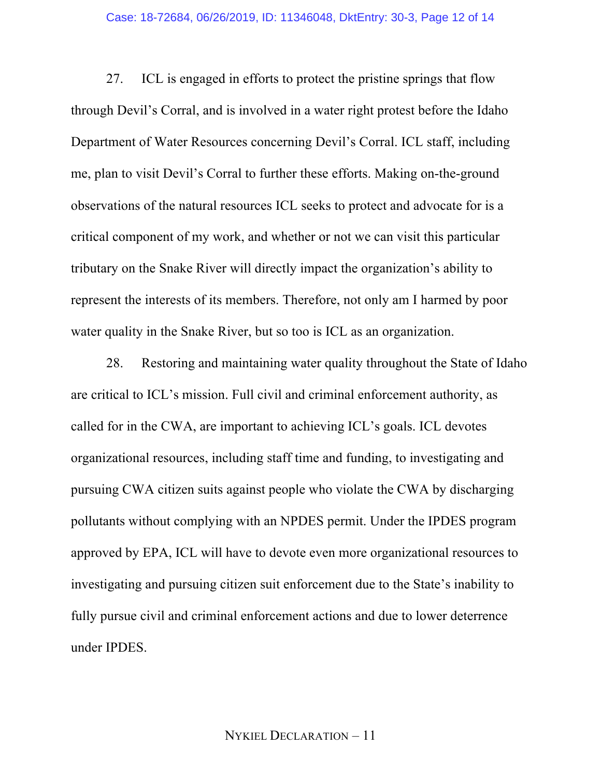27. ICL is engaged in efforts to protect the pristine springs that flow through Devil's Corral, and is involved in a water right protest before the Idaho Department of Water Resources concerning Devil's Corral. ICL staff, including me, plan to visit Devil's Corral to further these efforts. Making on-the-ground observations of the natural resources ICL seeks to protect and advocate for is a critical component of my work, and whether or not we can visit this particular tributary on the Snake River will directly impact the organization's ability to represent the interests of its members. Therefore, not only am I harmed by poor water quality in the Snake River, but so too is ICL as an organization.

28. Restoring and maintaining water quality throughout the State of Idaho are critical to ICL's mission. Full civil and criminal enforcement authority, as called for in the CWA, are important to achieving ICL's goals. ICL devotes organizational resources, including staff time and funding, to investigating and pursuing CWA citizen suits against people who violate the CWA by discharging pollutants without complying with an NPDES permit. Under the IPDES program approved by EPA, ICL will have to devote even more organizational resources to investigating and pursuing citizen suit enforcement due to the State's inability to fully pursue civil and criminal enforcement actions and due to lower deterrence under IPDES.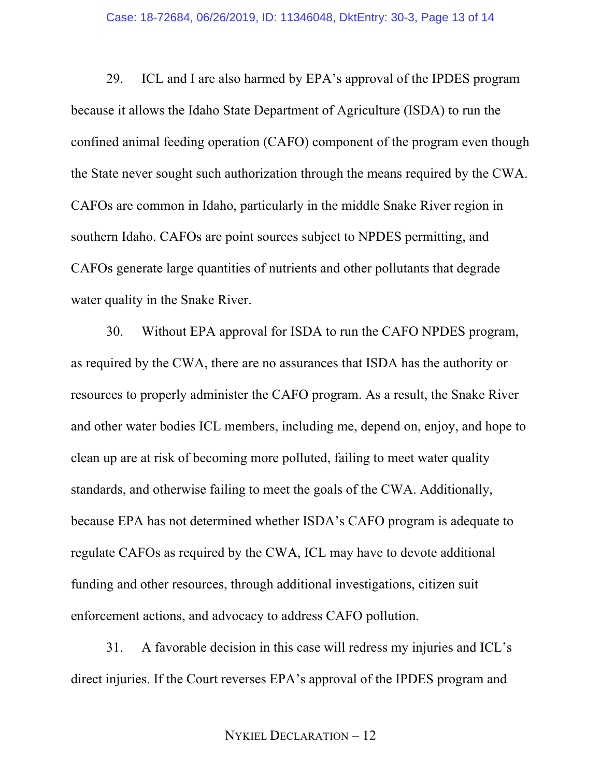29. ICL and I are also harmed by EPA's approval of the IPDES program because it allows the Idaho State Department of Agriculture (ISDA) to run the confined animal feeding operation (CAFO) component of the program even though the State never sought such authorization through the means required by the CWA. CAFOs are common in Idaho, particularly in the middle Snake River region in southern Idaho. CAFOs are point sources subject to NPDES permitting, and CAFOs generate large quantities of nutrients and other pollutants that degrade water quality in the Snake River.

30. Without EPA approval for ISDA to run the CAFO NPDES program, as required by the CWA, there are no assurances that ISDA has the authority or resources to properly administer the CAFO program. As a result, the Snake River and other water bodies ICL members, including me, depend on, enjoy, and hope to clean up are at risk of becoming more polluted, failing to meet water quality standards, and otherwise failing to meet the goals of the CWA. Additionally, because EPA has not determined whether ISDA's CAFO program is adequate to regulate CAFOs as required by the CWA, ICL may have to devote additional funding and other resources, through additional investigations, citizen suit enforcement actions, and advocacy to address CAFO pollution.

31. A favorable decision in this case will redress my injuries and ICL's direct injuries. If the Court reverses EPA's approval of the IPDES program and